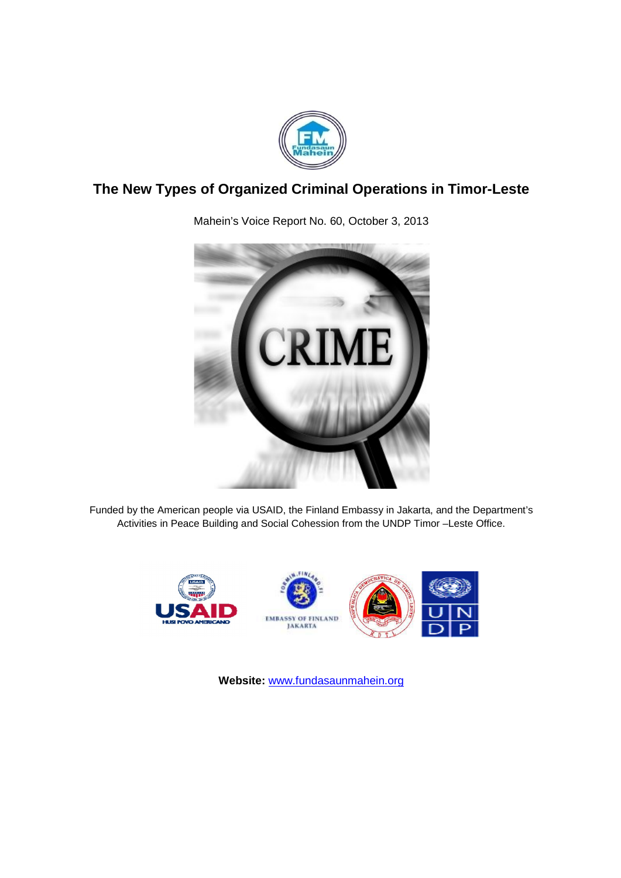

# **The New Types of Organized Criminal Organized Criminal Operations in Timor perations Timor-Leste**



Mahein's Voice Report No. 60, October 3, 2013

Funded by the American people via USAID, the Finland Embassy in Jakarta, and the Department's Activities in Peace Building and Social Cohession from the UNDP Timor -Leste Office.



**Website:** www.fundasaunmahein.org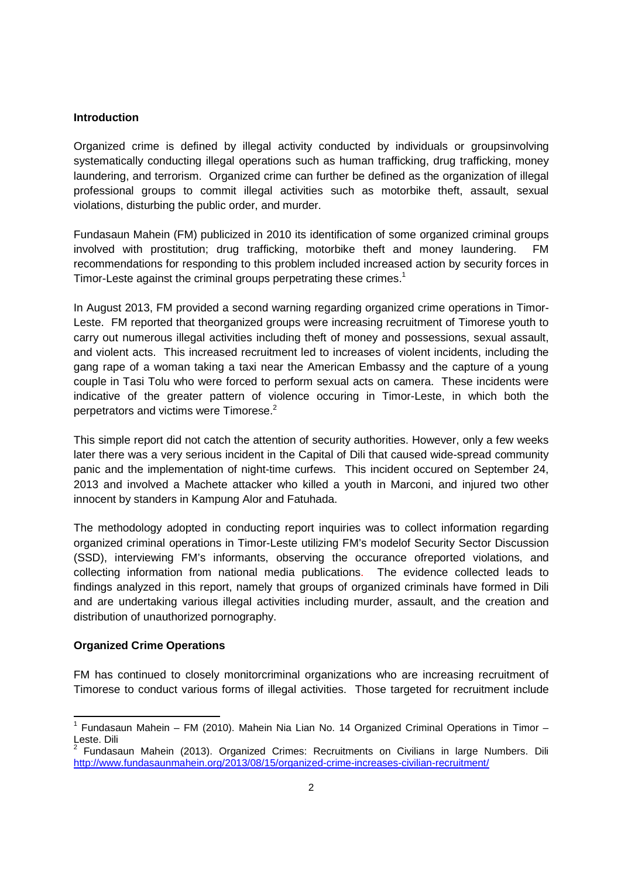#### **Introduction**

Organized crime is defined by illegal activity conducted by individuals or groupsinvolving systematically conducting illegal operations such as human trafficking, drug trafficking, money laundering, and terrorism. Organized crime can further be defined as the organization of illegal professional groups to commit illegal activities such as motorbike theft, assault, sexual violations, disturbing the public order, and murder.

Fundasaun Mahein (FM) publicized in 2010 its identification of some organized criminal groups involved with prostitution; drug trafficking, motorbike theft and money laundering. FM recommendations for responding to this problem included increased action by security forces in Timor-Leste against the criminal groups perpetrating these crimes.<sup>1</sup>

In August 2013, FM provided a second warning regarding organized crime operations in Timor-Leste. FM reported that theorganized groups were increasing recruitment of Timorese youth to carry out numerous illegal activities including theft of money and possessions, sexual assault, and violent acts. This increased recruitment led to increases of violent incidents, including the gang rape of a woman taking a taxi near the American Embassy and the capture of a young couple in Tasi Tolu who were forced to perform sexual acts on camera. These incidents were indicative of the greater pattern of violence occuring in Timor-Leste, in which both the perpetrators and victims were Timorese.<sup>2</sup>

This simple report did not catch the attention of security authorities. However, only a few weeks later there was a very serious incident in the Capital of Dili that caused wide-spread community panic and the implementation of night-time curfews. This incident occured on September 24, 2013 and involved a Machete attacker who killed a youth in Marconi, and injured two other innocent by standers in Kampung Alor and Fatuhada.

The methodology adopted in conducting report inquiries was to collect information regarding organized criminal operations in Timor-Leste utilizing FM's modelof Security Sector Discussion (SSD), interviewing FM's informants, observing the occurance ofreported violations, and collecting information from national media publications. The evidence collected leads to findings analyzed in this report, namely that groups of organized criminals have formed in Dili and are undertaking various illegal activities including murder, assault, and the creation and distribution of unauthorized pornography.

### **Organized Crime Operations**

FM has continued to closely monitorcriminal organizations who are increasing recruitment of Timorese to conduct various forms of illegal activities. Those targeted for recruitment include

<sup>&</sup>lt;sup>1</sup> Fundasaun Mahein – FM (2010). Mahein Nia Lian No. 14 Organized Criminal Operations in Timor – Leste. Dili<br><sup>2</sup> Fundasaun Mahein (2013). Organized Crimes: Recruitments on Civilians in large Numbers. Dili

http://www.fundasaunmahein.org/2013/08/15/organized-crime-increases-civilian-recruitment/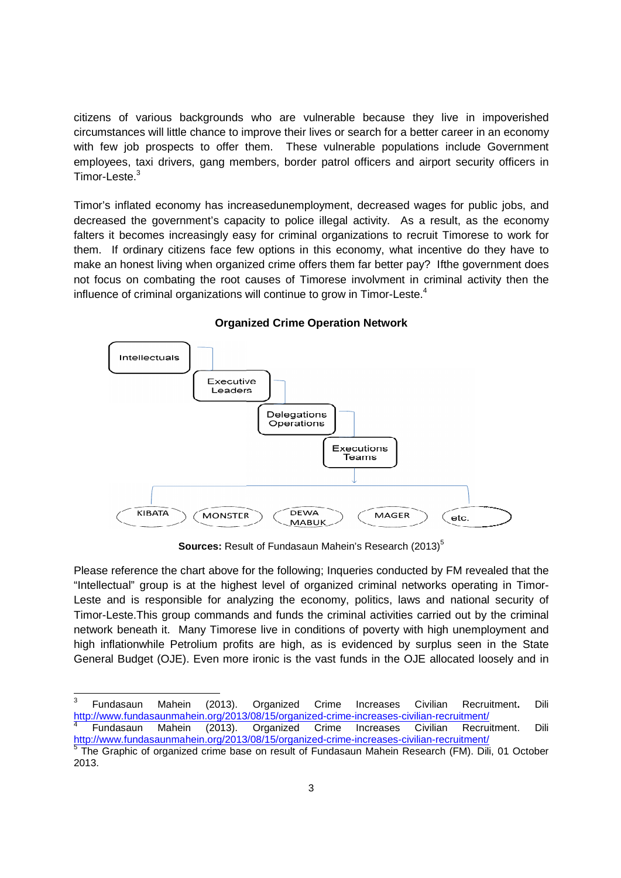citizens of various backgrounds who are vulnerable because they live in impoverished circumstances will little chance to improve their lives or search for a better career in an economy with few job prospects to offer them. These vulnerable populations include Government employees, taxi drivers, gang members, border patrol officers and airport security officers in Timor-Leste.<sup>3</sup> their lives or search for a better career in an economy<br>These vulnerable populations include Government<br>border patrol officers and airport security officers in<br>nemployment, decreased wages for public jobs, and

Timor's inflated economy has increasedunemployment, decreased wages for public jobs, decreased the government's capacity to police illegal activity. As a result, as the economy falters it becomes increasingly easy for criminal organizations to recruit Timorese to work for them. If ordinary citizens face few options in this economy, what incentive do they have to make an honest living when organized crime offers them far better pay? Ifthe government does not focus on combating the root causes of Timorese involvment in criminal activity then the influence of criminal organizations will continue to grow in Timor-Leste.<sup>4</sup>



**Organized Crime Op Crime Operation Network**

**Sources:** Result of Fundasaun Mahein's Research (2013)<sup>5</sup>

Please reference the chart above for the following; Inqueries conducted by FM revealed that the "Intellectual" group is at the highest level of organized criminal networks operating in Timor-Leste and is responsible for analyzing the economy, politics, laws and national security of Timor-Leste. This group commands and funds the criminal activities carried out by the criminal Timor-Leste.This group commands and funds the criminal activities carried out by the criminal<br>network beneath it. Many Timorese live in conditions of poverty with high unemployment and high inflationwhile Petrolium profits are high, as is evidenced by surplus seen in the State General Budget (OJE). Even more ironic is the vast funds in the OJE allocated loosely and in<br> **COVE 2013**<br>
<sup>3</sup> Fundasaun Mahein (2013). Organized Crime Increases Civilian Recruitment. Dili

 <sup>3</sup> Fundasaun Mahein (2013). <u>http://www.fundasaunmahein.org/2013/08/15/organized-crime-increases-civilian-recruitment/</u><br><sup>4</sup> Fundasaun Mahein (2013). Organized Crime Increases Civilian Recruitment. Dili Organized Crime Increases Civilian Recruitment

Fundasaun Mahein (2013). http://www.fundasaunmahein.org/2013/08/15/organized http://www.fundasaunmahein.org/2013/08/15/organized-crime-increases-civilian-recruitment/ <u>http://www.fundasaunmahein.org/2013/08/15/organized-crime-increases-civilian-recruitment/</u><br><sup>5</sup> The Graphic of organized crime base on result of Fundasaun Mahein Research (FM). Dili, 01 October Organized Crime Increases Civilian Recruitment

<sup>2013.</sup>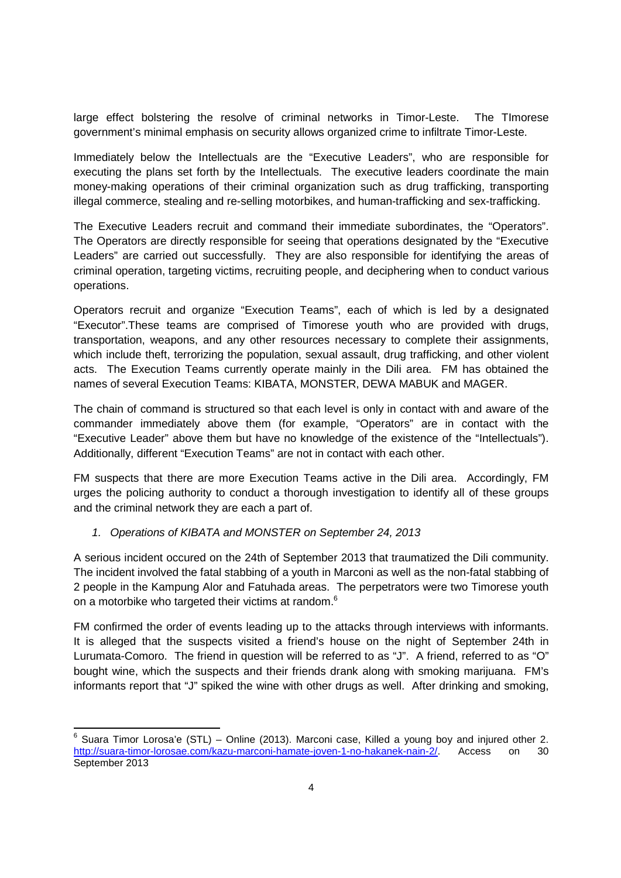large effect bolstering the resolve of criminal networks in Timor-Leste. The TImorese government's minimal emphasis on security allows organized crime to infiltrate Timor-Leste.

Immediately below the Intellectuals are the "Executive Leaders", who are responsible for executing the plans set forth by the Intellectuals. The executive leaders coordinate the main money-making operations of their criminal organization such as drug trafficking, transporting illegal commerce, stealing and re-selling motorbikes, and human-trafficking and sex-trafficking.

The Executive Leaders recruit and command their immediate subordinates, the "Operators". The Operators are directly responsible for seeing that operations designated by the "Executive Leaders" are carried out successfully. They are also responsible for identifying the areas of criminal operation, targeting victims, recruiting people, and deciphering when to conduct various operations.

Operators recruit and organize "Execution Teams", each of which is led by a designated "Executor".These teams are comprised of Timorese youth who are provided with drugs, transportation, weapons, and any other resources necessary to complete their assignments, which include theft, terrorizing the population, sexual assault, drug trafficking, and other violent acts. The Execution Teams currently operate mainly in the Dili area. FM has obtained the names of several Execution Teams: KIBATA, MONSTER, DEWA MABUK and MAGER.

The chain of command is structured so that each level is only in contact with and aware of the commander immediately above them (for example, "Operators" are in contact with the "Executive Leader" above them but have no knowledge of the existence of the "Intellectuals"). Additionally, different "Execution Teams" are not in contact with each other.

FM suspects that there are more Execution Teams active in the Dili area. Accordingly, FM urges the policing authority to conduct a thorough investigation to identify all of these groups and the criminal network they are each a part of.

# *1. Operations of KIBATA and MONSTER on September 24, 2013*

A serious incident occured on the 24th of September 2013 that traumatized the Dili community. The incident involved the fatal stabbing of a youth in Marconi as well as the non-fatal stabbing of 2 people in the Kampung Alor and Fatuhada areas. The perpetrators were two Timorese youth on a motorbike who targeted their victims at random.<sup>6</sup>

FM confirmed the order of events leading up to the attacks through interviews with informants. It is alleged that the suspects visited a friend's house on the night of September 24th in Lurumata-Comoro. The friend in question will be referred to as "J". A friend, referred to as "O" bought wine, which the suspects and their friends drank along with smoking marijuana. FM's informants report that "J" spiked the wine with other drugs as well. After drinking and smoking,

 $6$  Suara Timor Lorosa'e (STL) – Online (2013). Marconi case, Killed a young boy and injured other 2. http://suara-timor-lorosae.com/kazu-marconi-hamate-joven-1-no-hakanek-nain-2/. Access on 30 September 2013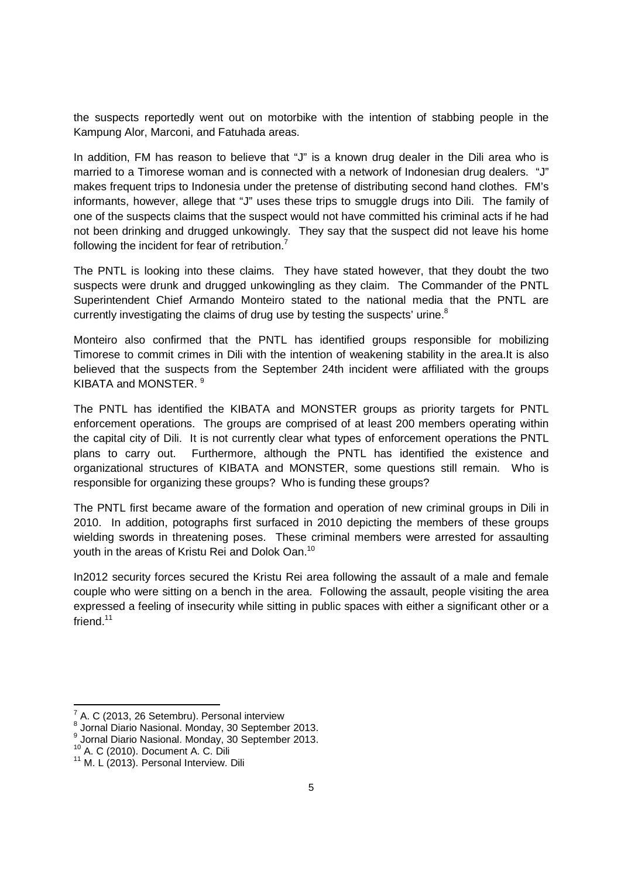the suspects reportedly went out on motorbike with the intention of stabbing people in the Kampung Alor, Marconi, and Fatuhada areas.

In addition, FM has reason to believe that "J" is a known drug dealer in the Dili area who is married to a Timorese woman and is connected with a network of Indonesian drug dealers. "J" makes frequent trips to Indonesia under the pretense of distributing second hand clothes. FM's informants, however, allege that "J" uses these trips to smuggle drugs into Dili. The family of one of the suspects claims that the suspect would not have committed his criminal acts if he had not been drinking and drugged unkowingly. They say that the suspect did not leave his home following the incident for fear of retribution.<sup>7</sup>

The PNTL is looking into these claims. They have stated however, that they doubt the two suspects were drunk and drugged unkowingling as they claim. The Commander of the PNTL Superintendent Chief Armando Monteiro stated to the national media that the PNTL are currently investigating the claims of drug use by testing the suspects' urine.<sup>8</sup>

Monteiro also confirmed that the PNTL has identified groups responsible for mobilizing Timorese to commit crimes in Dili with the intention of weakening stability in the area.It is also believed that the suspects from the September 24th incident were affiliated with the groups KIBATA and MONSTER <sup>9</sup>

The PNTL has identified the KIBATA and MONSTER groups as priority targets for PNTL enforcement operations. The groups are comprised of at least 200 members operating within the capital city of Dili. It is not currently clear what types of enforcement operations the PNTL plans to carry out. Furthermore, although the PNTL has identified the existence and organizational structures of KIBATA and MONSTER, some questions still remain. Who is responsible for organizing these groups? Who is funding these groups?

The PNTL first became aware of the formation and operation of new criminal groups in Dili in 2010. In addition, potographs first surfaced in 2010 depicting the members of these groups wielding swords in threatening poses. These criminal members were arrested for assaulting youth in the areas of Kristu Rei and Dolok Oan.<sup>10</sup>

In2012 security forces secured the Kristu Rei area following the assault of a male and female couple who were sitting on a bench in the area. Following the assault, people visiting the area expressed a feeling of insecurity while sitting in public spaces with either a significant other or a friend.<sup>11</sup>

 $7$  A. C (2013, 26 Setembru). Personal interview

<sup>8</sup> Jornal Diario Nasional. Monday, 30 September 2013.

Jornal Diario Nasional. Monday, 30 September 2013.

 $10$  A. C (2010). Document A. C. Dili<br> $11$  M. L (2013). Personal Interview. Dili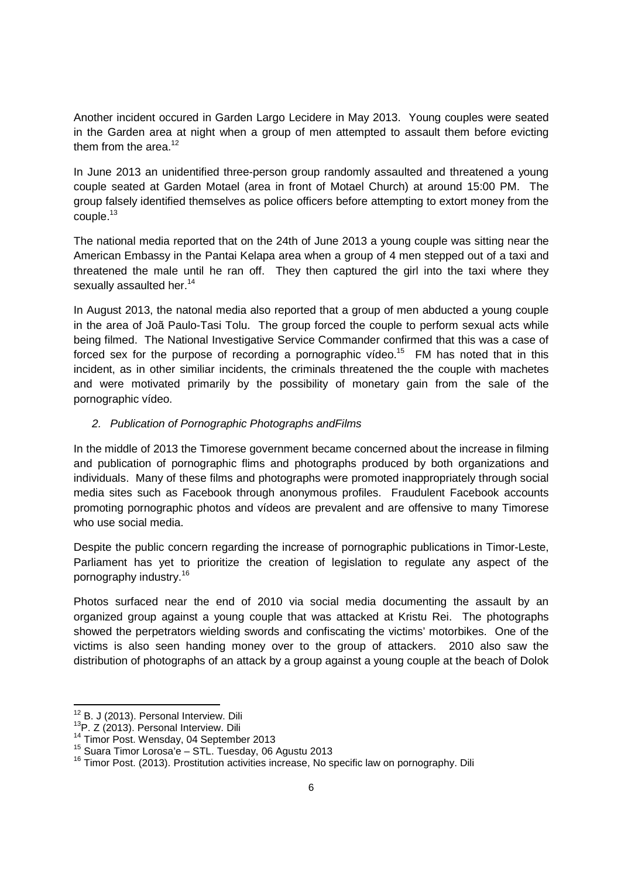Another incident occured in Garden Largo Lecidere in May 2013. Young couples were seated in the Garden area at night when a group of men attempted to assault them before evicting them from the area.<sup>12</sup>

In June 2013 an unidentified three-person group randomly assaulted and threatened a young couple seated at Garden Motael (area in front of Motael Church) at around 15:00 PM. The group falsely identified themselves as police officers before attempting to extort money from the couple.<sup>13</sup>

The national media reported that on the 24th of June 2013 a young couple was sitting near the American Embassy in the Pantai Kelapa area when a group of 4 men stepped out of a taxi and threatened the male until he ran off. They then captured the girl into the taxi where they sexually assaulted her.<sup>14</sup>

In August 2013, the natonal media also reported that a group of men abducted a young couple in the area of Joã Paulo-Tasi Tolu. The group forced the couple to perform sexual acts while being filmed. The National Investigative Service Commander confirmed that this was a case of forced sex for the purpose of recording a pornographic vídeo.<sup>15</sup> FM has noted that in this incident, as in other similiar incidents, the criminals threatened the the couple with machetes and were motivated primarily by the possibility of monetary gain from the sale of the pornographic vídeo.

# *2. Publication of Pornographic Photographs andFilms*

In the middle of 2013 the Timorese government became concerned about the increase in filming and publication of pornographic flims and photographs produced by both organizations and individuals. Many of these films and photographs were promoted inappropriately through social media sites such as Facebook through anonymous profiles. Fraudulent Facebook accounts promoting pornographic photos and vídeos are prevalent and are offensive to many Timorese who use social media.

Despite the public concern regarding the increase of pornographic publications in Timor-Leste, Parliament has yet to prioritize the creation of legislation to regulate any aspect of the pornography industry. 16

Photos surfaced near the end of 2010 via social media documenting the assault by an organized group against a young couple that was attacked at Kristu Rei. The photographs showed the perpetrators wielding swords and confiscating the victims' motorbikes. One of the victims is also seen handing money over to the group of attackers. 2010 also saw the distribution of photographs of an attack by a group against a young couple at the beach of Dolok

<sup>&</sup>lt;sup>12</sup> B. J (2013). Personal Interview. Dili<br><sup>13</sup>P. Z (2013). Personal Interview. Dili<br><sup>14</sup> Timor Post. Wensday, 04 September 2013<br><sup>15</sup> Suara Timor Lorosa'e – STL. Tuesday, 06 Agustu 2013

<sup>&</sup>lt;sup>16</sup> Timor Post. (2013). Prostitution activities increase, No specific law on pornography. Dili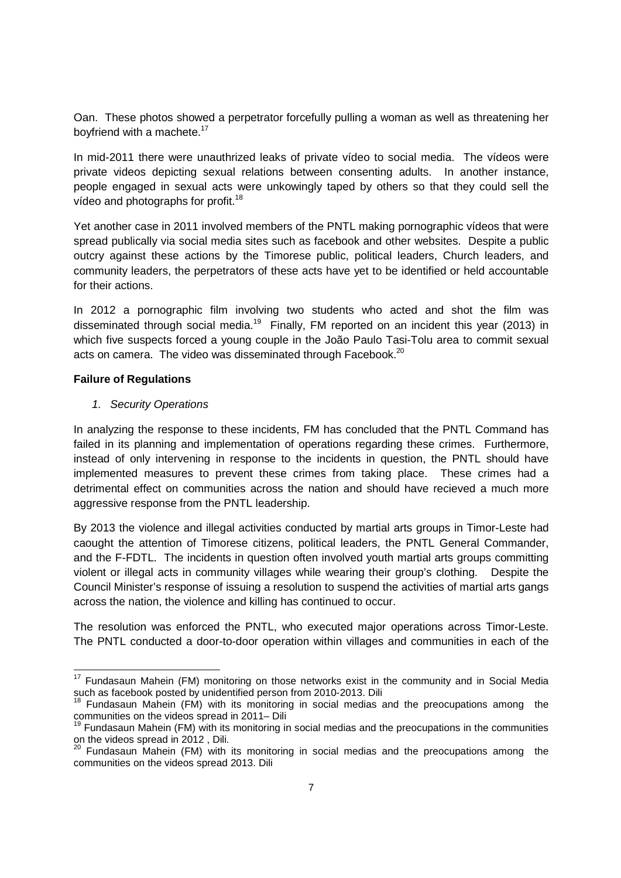Oan. These photos showed a perpetrator forcefully pulling a woman as well as threatening her boyfriend with a machete.<sup>17</sup>

In mid-2011 there were unauthrized leaks of private vídeo to social media. The vídeos were private videos depicting sexual relations between consenting adults. In another instance, people engaged in sexual acts were unkowingly taped by others so that they could sell the vídeo and photographs for profit.<sup>18</sup>

Yet another case in 2011 involved members of the PNTL making pornographic vídeos that were spread publically via social media sites such as facebook and other websites. Despite a public outcry against these actions by the Timorese public, political leaders, Church leaders, and community leaders, the perpetrators of these acts have yet to be identified or held accountable for their actions.

In 2012 a pornographic film involving two students who acted and shot the film was disseminated through social media.<sup>19</sup> Finally, FM reported on an incident this year (2013) in which five suspects forced a young couple in the João Paulo Tasi-Tolu area to commit sexual acts on camera. The video was disseminated through Facebook.<sup>20</sup>

### **Failure of Regulations**

## *1. Security Operations*

In analyzing the response to these incidents, FM has concluded that the PNTL Command has failed in its planning and implementation of operations regarding these crimes. Furthermore, instead of only intervening in response to the incidents in question, the PNTL should have implemented measures to prevent these crimes from taking place. These crimes had a detrimental effect on communities across the nation and should have recieved a much more aggressive response from the PNTL leadership.

By 2013 the violence and illegal activities conducted by martial arts groups in Timor-Leste had caought the attention of Timorese citizens, political leaders, the PNTL General Commander, and the F-FDTL. The incidents in question often involved youth martial arts groups committing violent or illegal acts in community villages while wearing their group's clothing. Despite the Council Minister's response of issuing a resolution to suspend the activities of martial arts gangs across the nation, the violence and killing has continued to occur.

The resolution was enforced the PNTL, who executed major operations across Timor-Leste. The PNTL conducted a door-to-door operation within villages and communities in each of the

<sup>&</sup>lt;sup>17</sup> Fundasaun Mahein (FM) monitoring on those networks exist in the community and in Social Media such as facebook posted by unidentified person from 2010-2013. Dili

<sup>18</sup> Fundasaun Mahein (FM) with its monitoring in social medias and the preocupations among the communities on the videos spread in 2011– Dili

<sup>19</sup> Fundasaun Mahein (FM) with its monitoring in social medias and the preocupations in the communities on the videos spread in 2012 , Dili.<br><sup>20</sup> Fundasaun Mahein (FM) with its monitoring in social medias and the preocupations among the

communities on the videos spread 2013. Dili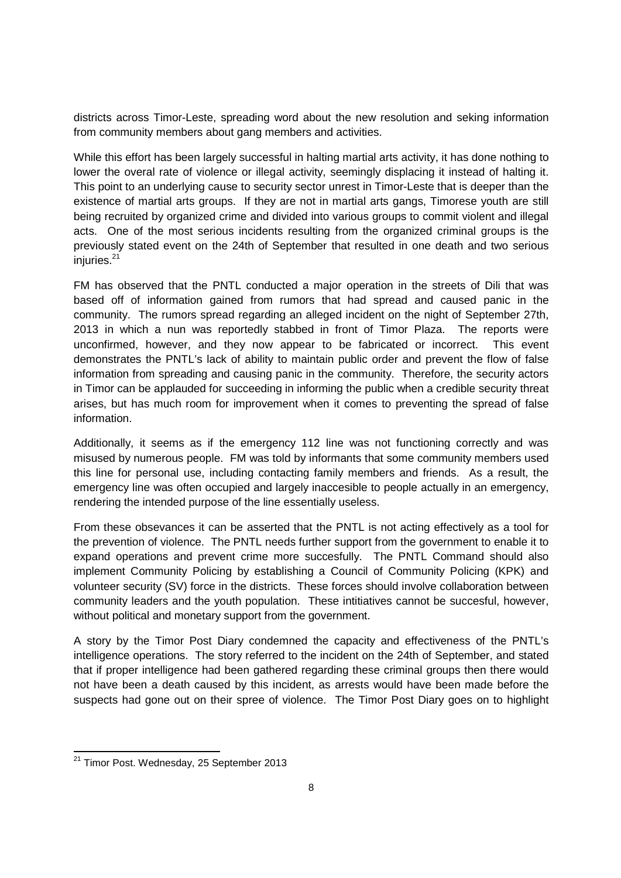districts across Timor-Leste, spreading word about the new resolution and seking information from community members about gang members and activities.

While this effort has been largely successful in halting martial arts activity, it has done nothing to lower the overal rate of violence or illegal activity, seemingly displacing it instead of halting it. This point to an underlying cause to security sector unrest in Timor-Leste that is deeper than the existence of martial arts groups. If they are not in martial arts gangs, Timorese youth are still being recruited by organized crime and divided into various groups to commit violent and illegal acts. One of the most serious incidents resulting from the organized criminal groups is the previously stated event on the 24th of September that resulted in one death and two serious injuries. 21

FM has observed that the PNTL conducted a major operation in the streets of Dili that was based off of information gained from rumors that had spread and caused panic in the community. The rumors spread regarding an alleged incident on the night of September 27th, 2013 in which a nun was reportedly stabbed in front of Timor Plaza. The reports were unconfirmed, however, and they now appear to be fabricated or incorrect. This event demonstrates the PNTL's lack of ability to maintain public order and prevent the flow of false information from spreading and causing panic in the community. Therefore, the security actors in Timor can be applauded for succeeding in informing the public when a credible security threat arises, but has much room for improvement when it comes to preventing the spread of false information.

Additionally, it seems as if the emergency 112 line was not functioning correctly and was misused by numerous people. FM was told by informants that some community members used this line for personal use, including contacting family members and friends. As a result, the emergency line was often occupied and largely inaccesible to people actually in an emergency, rendering the intended purpose of the line essentially useless.

From these obsevances it can be asserted that the PNTL is not acting effectively as a tool for the prevention of violence. The PNTL needs further support from the government to enable it to expand operations and prevent crime more succesfully. The PNTL Command should also implement Community Policing by establishing a Council of Community Policing (KPK) and volunteer security (SV) force in the districts. These forces should involve collaboration between community leaders and the youth population. These intitiatives cannot be succesful, however, without political and monetary support from the government.

A story by the Timor Post Diary condemned the capacity and effectiveness of the PNTL's intelligence operations. The story referred to the incident on the 24th of September, and stated that if proper intelligence had been gathered regarding these criminal groups then there would not have been a death caused by this incident, as arrests would have been made before the suspects had gone out on their spree of violence. The Timor Post Diary goes on to highlight

<sup>&</sup>lt;sup>21</sup> Timor Post. Wednesday, 25 September 2013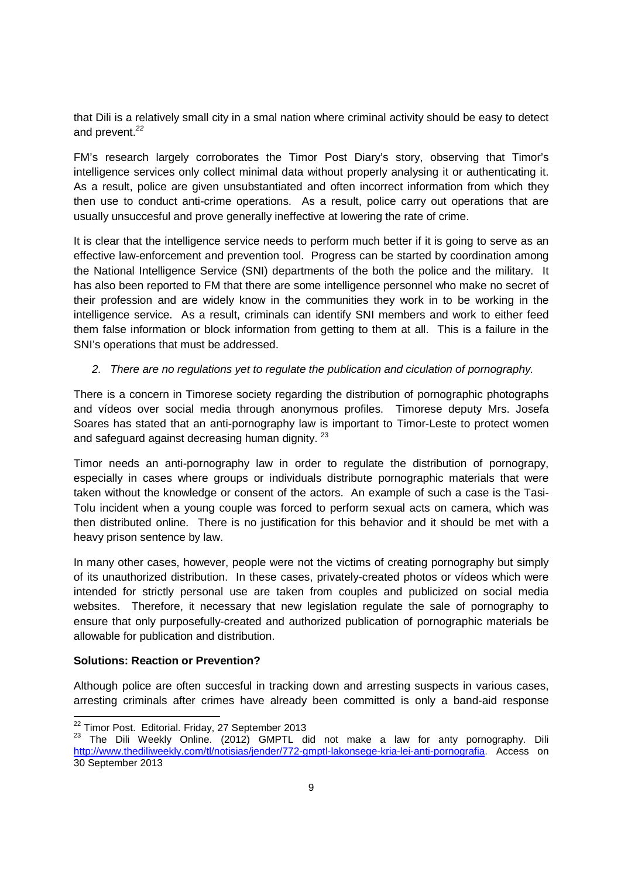that Dili is a relatively small city in a smal nation where criminal activity should be easy to detect and prevent. *22*

FM's research largely corroborates the Timor Post Diary's story, observing that Timor's intelligence services only collect minimal data without properly analysing it or authenticating it. As a result, police are given unsubstantiated and often incorrect information from which they then use to conduct anti-crime operations. As a result, police carry out operations that are usually unsuccesful and prove generally ineffective at lowering the rate of crime.

It is clear that the intelligence service needs to perform much better if it is going to serve as an effective law-enforcement and prevention tool. Progress can be started by coordination among the National Intelligence Service (SNI) departments of the both the police and the military. It has also been reported to FM that there are some intelligence personnel who make no secret of their profession and are widely know in the communities they work in to be working in the intelligence service. As a result, criminals can identify SNI members and work to either feed them false information or block information from getting to them at all. This is a failure in the SNI's operations that must be addressed.

# *2. There are no regulations yet to regulate the publication and ciculation of pornography.*

There is a concern in Timorese society regarding the distribution of pornographic photographs and vídeos over social media through anonymous profiles. Timorese deputy Mrs. Josefa Soares has stated that an anti-pornography law is important to Timor-Leste to protect women and safeguard against decreasing human dignity.<sup>23</sup>

Timor needs an anti-pornography law in order to regulate the distribution of pornograpy, especially in cases where groups or individuals distribute pornographic materials that were taken without the knowledge or consent of the actors. An example of such a case is the Tasi-Tolu incident when a young couple was forced to perform sexual acts on camera, which was then distributed online. There is no justification for this behavior and it should be met with a heavy prison sentence by law.

In many other cases, however, people were not the victims of creating pornography but simply of its unauthorized distribution. In these cases, privately-created photos or vídeos which were intended for strictly personal use are taken from couples and publicized on social media websites. Therefore, it necessary that new legislation regulate the sale of pornography to ensure that only purposefully-created and authorized publication of pornographic materials be allowable for publication and distribution.

### **Solutions: Reaction or Prevention?**

Although police are often succesful in tracking down and arresting suspects in various cases, arresting criminals after crimes have already been committed is only a band-aid response

<sup>22</sup> Timor Post. Editorial. Friday, 27 September <sup>2013</sup>

<sup>&</sup>lt;sup>23</sup> The Dili Weekly Online. (2012) GMPTL did not make a law for anty pornography. Dili http://www.thediliweekly.com/tl/notisias/jender/772-gmptl-lakonsege-kria-lei-anti-pornografia. Access on 30 September 2013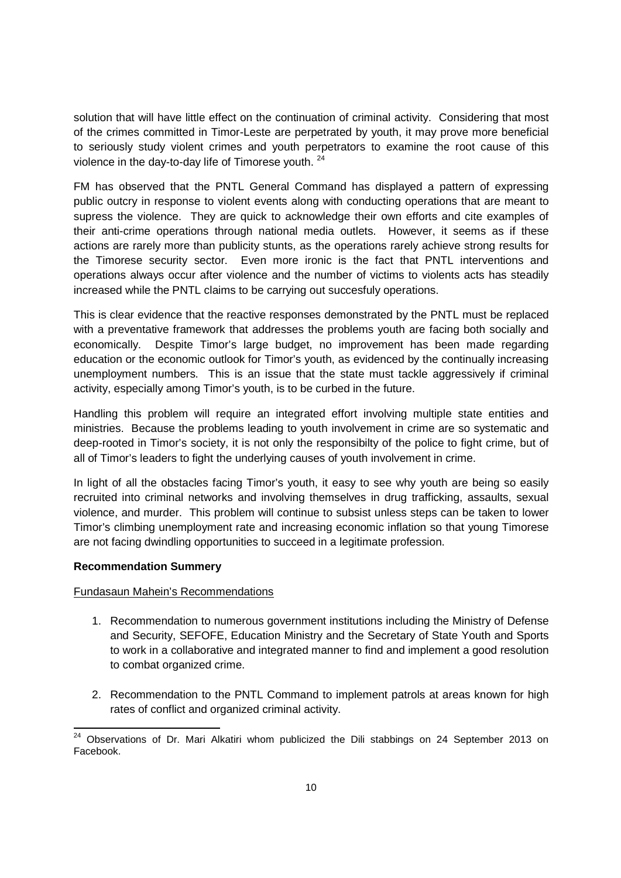solution that will have little effect on the continuation of criminal activity. Considering that most of the crimes committed in Timor-Leste are perpetrated by youth, it may prove more beneficial to seriously study violent crimes and youth perpetrators to examine the root cause of this violence in the day-to-day life of Timorese youth. <sup>24</sup>

FM has observed that the PNTL General Command has displayed a pattern of expressing public outcry in response to violent events along with conducting operations that are meant to supress the violence. They are quick to acknowledge their own efforts and cite examples of their anti-crime operations through national media outlets. However, it seems as if these actions are rarely more than publicity stunts, as the operations rarely achieve strong results for the Timorese security sector. Even more ironic is the fact that PNTL interventions and operations always occur after violence and the number of victims to violents acts has steadily increased while the PNTL claims to be carrying out succesfuly operations.

This is clear evidence that the reactive responses demonstrated by the PNTL must be replaced with a preventative framework that addresses the problems youth are facing both socially and economically. Despite Timor's large budget, no improvement has been made regarding education or the economic outlook for Timor's youth, as evidenced by the continually increasing unemployment numbers. This is an issue that the state must tackle aggressively if criminal activity, especially among Timor's youth, is to be curbed in the future.

Handling this problem will require an integrated effort involving multiple state entities and ministries. Because the problems leading to youth involvement in crime are so systematic and deep-rooted in Timor's society, it is not only the responsibilty of the police to fight crime, but of all of Timor's leaders to fight the underlying causes of youth involvement in crime.

In light of all the obstacles facing Timor's youth, it easy to see why youth are being so easily recruited into criminal networks and involving themselves in drug trafficking, assaults, sexual violence, and murder. This problem will continue to subsist unless steps can be taken to lower Timor's climbing unemployment rate and increasing economic inflation so that young Timorese are not facing dwindling opportunities to succeed in a legitimate profession.

# **Recommendation Summery**

# Fundasaun Mahein's Recommendations

- 1. Recommendation to numerous government institutions including the Ministry of Defense and Security, SEFOFE, Education Ministry and the Secretary of State Youth and Sports to work in a collaborative and integrated manner to find and implement a good resolution to combat organized crime.
- 2. Recommendation to the PNTL Command to implement patrols at areas known for high rates of conflict and organized criminal activity.

 $24$  Observations of Dr. Mari Alkatiri whom publicized the Dili stabbings on 24 September 2013 on Facebook.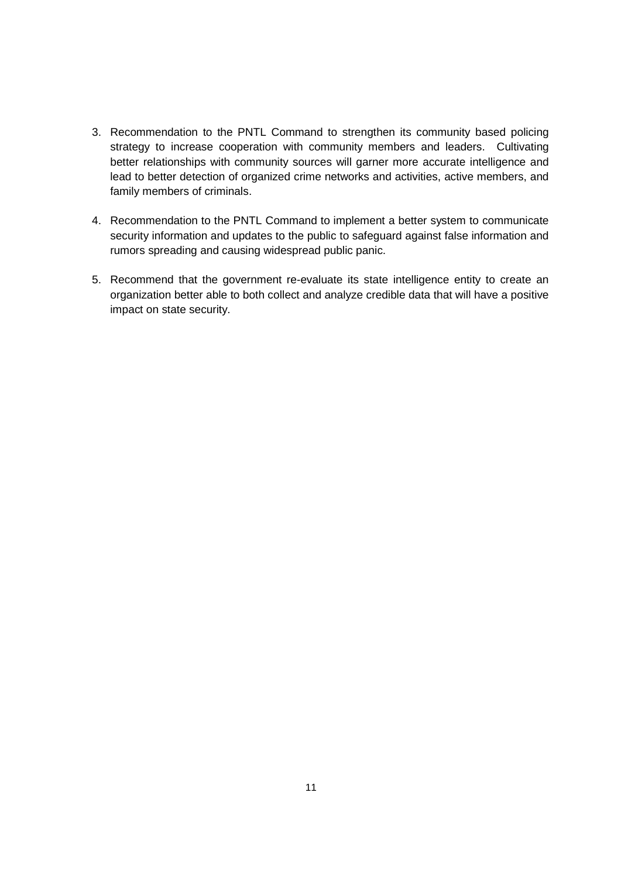- 3. Recommendation to the PNTL Command to strengthen its community based policing strategy to increase cooperation with community members and leaders. Cultivating better relationships with community sources will garner more accurate intelligence and lead to better detection of organized crime networks and activities, active members, and family members of criminals.
- 4. Recommendation to the PNTL Command to implement a better system to communicate security information and updates to the public to safeguard against false information and rumors spreading and causing widespread public panic.
- 5. Recommend that the government re-evaluate its state intelligence entity to create an organization better able to both collect and analyze credible data that will have a positive impact on state security.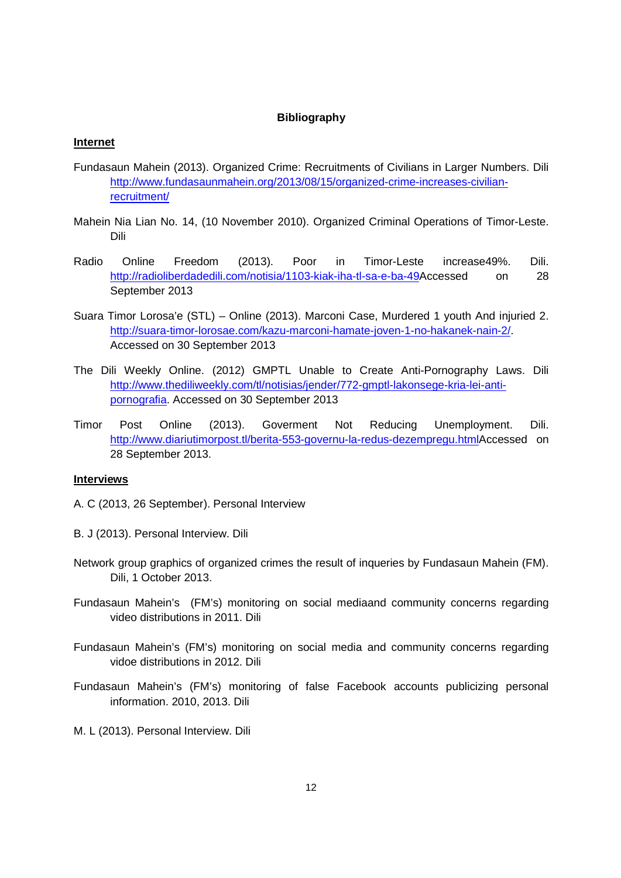### **Bibliography**

#### **Internet**

- Fundasaun Mahein (2013). Organized Crime: Recruitments of Civilians in Larger Numbers. Dili http://www.fundasaunmahein.org/2013/08/15/organized-crime-increases-civilianrecruitment/
- Mahein Nia Lian No. 14, (10 November 2010). Organized Criminal Operations of Timor-Leste. Dili
- Radio Online Freedom (2013). Poor in Timor-Leste increase49%. Dili. http://radioliberdadedili.com/notisia/1103-kiak-iha-tl-sa-e-ba-49Accessed on 28 September 2013
- Suara Timor Lorosa'e (STL) Online (2013). Marconi Case, Murdered 1 youth And injuried 2. http://suara-timor-lorosae.com/kazu-marconi-hamate-joven-1-no-hakanek-nain-2/. Accessed on 30 September 2013
- The Dili Weekly Online. (2012) GMPTL Unable to Create Anti-Pornography Laws. Dili http://www.thediliweekly.com/tl/notisias/jender/772-gmptl-lakonsege-kria-lei-antipornografia. Accessed on 30 September 2013
- Timor Post Online (2013). Goverment Not Reducing Unemployment. Dili. http://www.diariutimorpost.tl/berita-553-governu-la-redus-dezempregu.htmlAccessed on 28 September 2013.

### **Interviews**

- A. C (2013, 26 September). Personal Interview
- B. J (2013). Personal Interview. Dili
- Network group graphics of organized crimes the result of inqueries by Fundasaun Mahein (FM). Dili, 1 October 2013.
- Fundasaun Mahein's (FM's) monitoring on social mediaand community concerns regarding video distributions in 2011. Dili
- Fundasaun Mahein's (FM's) monitoring on social media and community concerns regarding vidoe distributions in 2012. Dili
- Fundasaun Mahein's (FM's) monitoring of false Facebook accounts publicizing personal information. 2010, 2013. Dili
- M. L (2013). Personal Interview. Dili